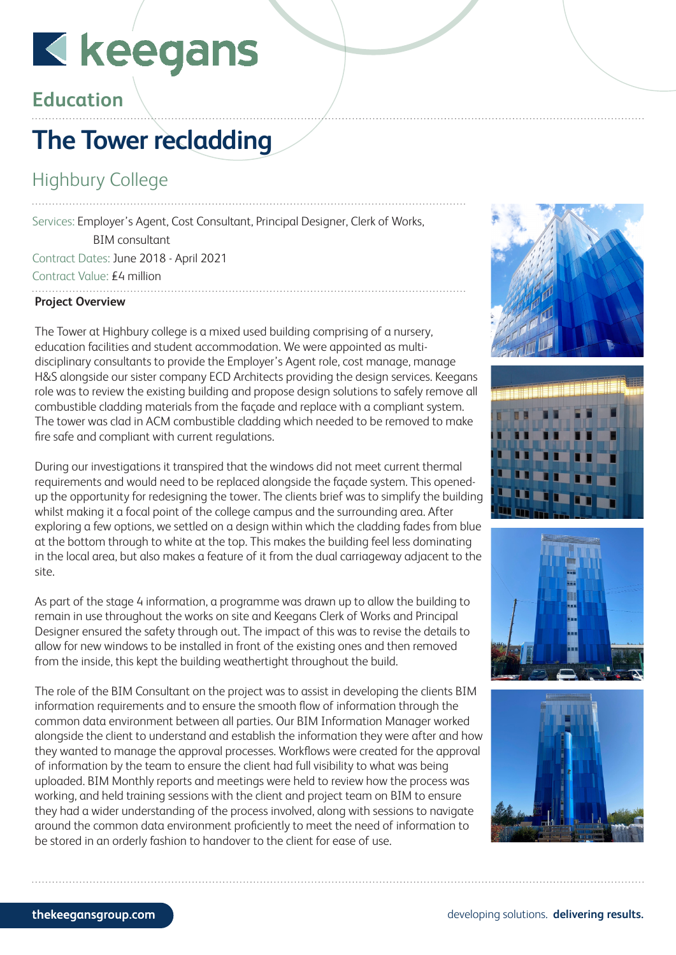# Kkeegans

### **Education**

### **The Tower recladding**

#### Highbury College

Services: Employer's Agent, Cost Consultant, Principal Designer, Clerk of Works, BIM consultant Contract Dates: June 2018 - April 2021

Contract Value: £4 million

#### **Project Overview**

The Tower at Highbury college is a mixed used building comprising of a nursery, education facilities and student accommodation. We were appointed as multidisciplinary consultants to provide the Employer's Agent role, cost manage, manage H&S alongside our sister company ECD Architects providing the design services. Keegans role was to review the existing building and propose design solutions to safely remove all combustible cladding materials from the façade and replace with a compliant system. The tower was clad in ACM combustible cladding which needed to be removed to make fire safe and compliant with current regulations.

During our investigations it transpired that the windows did not meet current thermal requirements and would need to be replaced alongside the façade system. This openedup the opportunity for redesigning the tower. The clients brief was to simplify the building whilst making it a focal point of the college campus and the surrounding area. After exploring a few options, we settled on a design within which the cladding fades from blue at the bottom through to white at the top. This makes the building feel less dominating in the local area, but also makes a feature of it from the dual carriageway adjacent to the site.

As part of the stage 4 information, a programme was drawn up to allow the building to remain in use throughout the works on site and Keegans Clerk of Works and Principal Designer ensured the safety through out. The impact of this was to revise the details to allow for new windows to be installed in front of the existing ones and then removed from the inside, this kept the building weathertight throughout the build.

The role of the BIM Consultant on the project was to assist in developing the clients BIM information requirements and to ensure the smooth flow of information through the common data environment between all parties. Our BIM Information Manager worked alongside the client to understand and establish the information they were after and how they wanted to manage the approval processes. Workflows were created for the approval of information by the team to ensure the client had full visibility to what was being uploaded. BIM Monthly reports and meetings were held to review how the process was working, and held training sessions with the client and project team on BIM to ensure they had a wider understanding of the process involved, along with sessions to navigate around the common data environment proficiently to meet the need of information to be stored in an orderly fashion to handover to the client for ease of use.